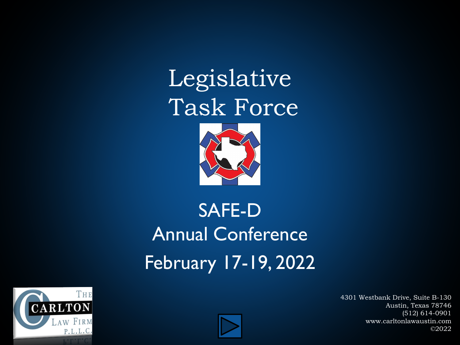Legislative Task Force



#### SAFE-D Annual Conference February 17-19, 2022



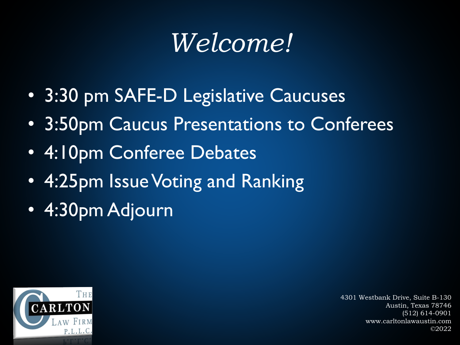# *Welcome!*

- 3:30 pm SAFE-D Legislative Caucuses
- 3:50pm Caucus Presentations to Conferees
- 4:10pm Conferee Debates
- 4:25pm Issue Voting and Ranking
- 4:30pm Adjourn

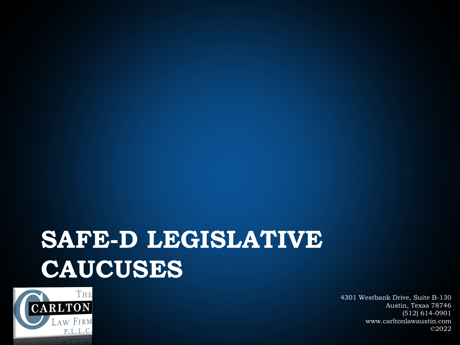## **SAFE-D LEGISLATIVE CAUCUSES**

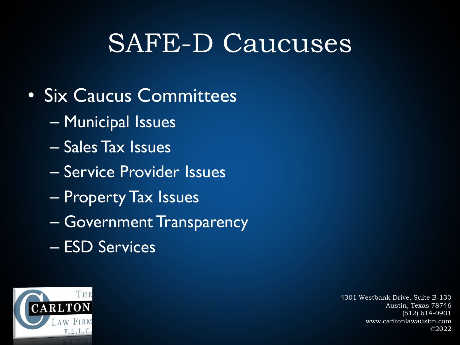## SAFE-D Caucuses

- Six Caucus Committees
	- Municipal Issues
	- Sales Tax Issues
	- Service Provider Issues
	- Property Tax Issues
	- Government Transparency
	- ESD Services

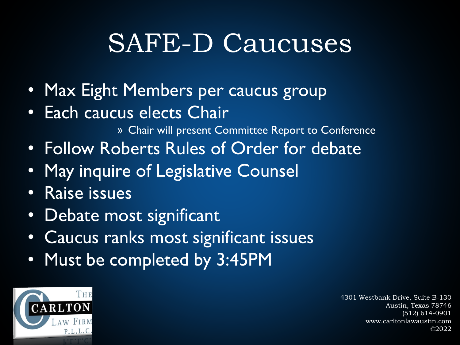## SAFE-D Caucuses

- Max Eight Members per caucus group
- Each caucus elects Chair

» Chair will present Committee Report to Conference

- Follow Roberts Rules of Order for debate
- May inquire of Legislative Counsel
- Raise issues
- Debate most significant
- Caucus ranks most significant issues
- Must be completed by 3:45PM

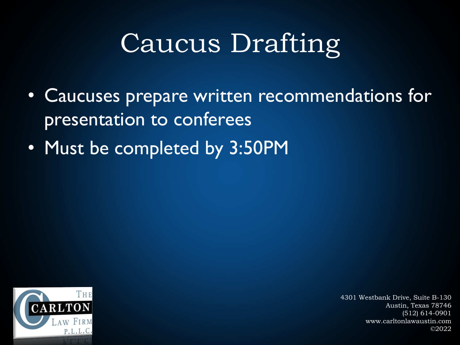# Caucus Drafting

- Caucuses prepare written recommendations for presentation to conferees
- Must be completed by 3:50PM

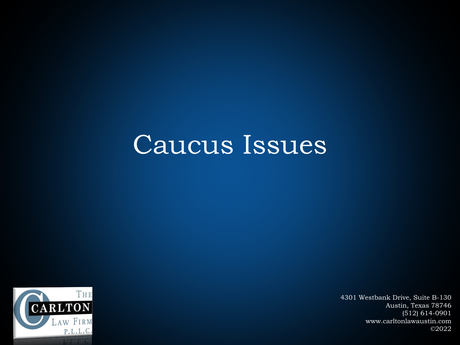#### Caucus Issues

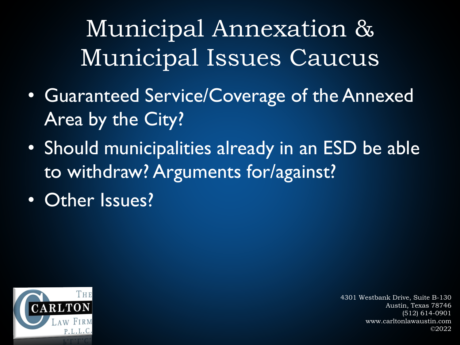Municipal Annexation & Municipal Issues Caucus

- Guaranteed Service/Coverage of the Annexed Area by the City?
- Should municipalities already in an ESD be able to withdraw? Arguments for/against?
- Other Issues?

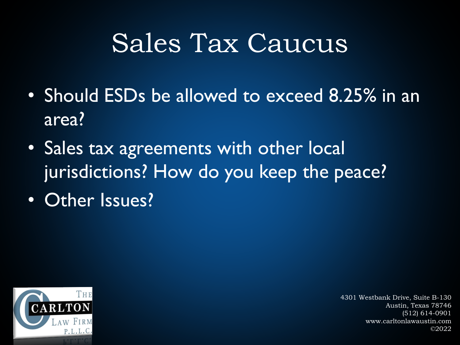## Sales Tax Caucus

- Should ESDs be allowed to exceed 8.25% in an area?
- Sales tax agreements with other local jurisdictions? How do you keep the peace?
- Other Issues?

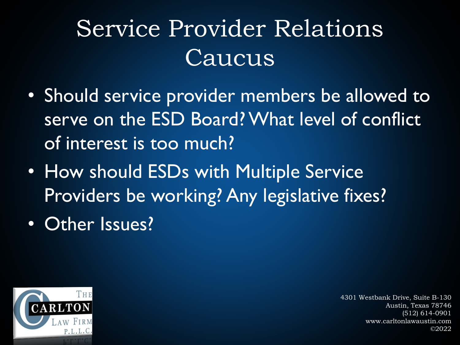## Service Provider Relations Caucus

- Should service provider members be allowed to serve on the ESD Board? What level of conflict of interest is too much?
- How should ESDs with Multiple Service Providers be working? Any legislative fixes?
- Other Issues?

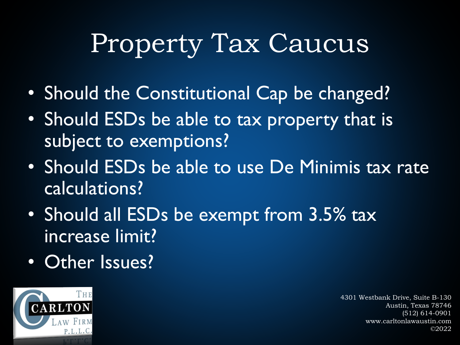# Property Tax Caucus

- Should the Constitutional Cap be changed?
- Should ESDs be able to tax property that is subject to exemptions?
- Should ESDs be able to use De Minimis tax rate calculations?
- Should all ESDs be exempt from 3.5% tax increase limit?
- Other Issues?

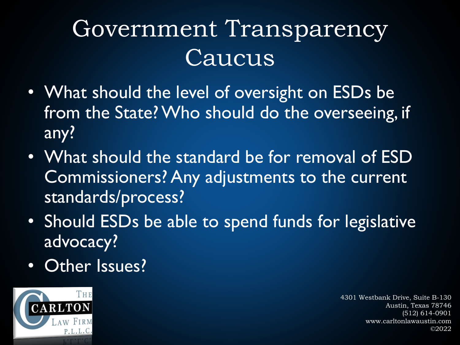### Government Transparency Caucus

- What should the level of oversight on ESDs be from the State? Who should do the overseeing, if any?
- What should the standard be for removal of ESD Commissioners? Any adjustments to the current standards/process?
- Should ESDs be able to spend funds for legislative advocacy?
- Other Issues?

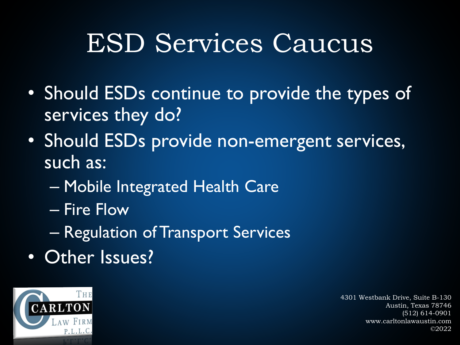# ESD Services Caucus

- Should ESDs continue to provide the types of services they do?
- Should ESDs provide non-emergent services, such as:
	- Mobile Integrated Health Care
	- Fire Flow
	- Regulation of Transport Services
- Other Issues?

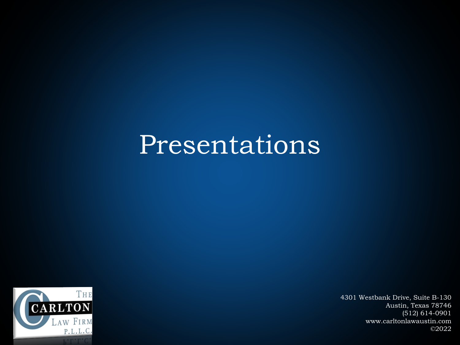#### Presentations

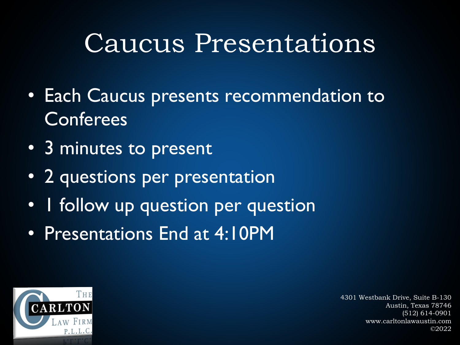## Caucus Presentations

- Each Caucus presents recommendation to **Conferees**
- 3 minutes to present
- 2 questions per presentation
- I follow up question per question
- Presentations End at 4:10PM

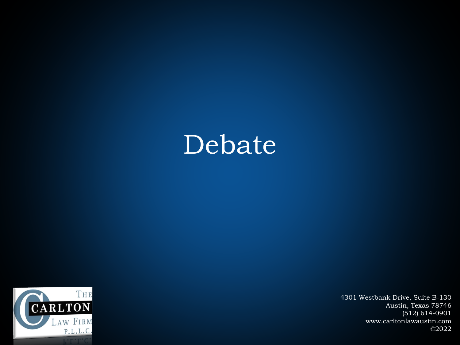#### Debate

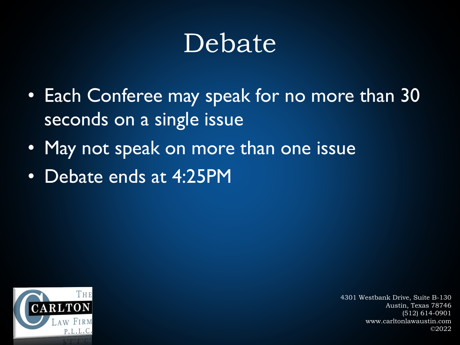### Debate

- Each Conferee may speak for no more than 30 seconds on a single issue
- May not speak on more than one issue
- Debate ends at 4:25PM

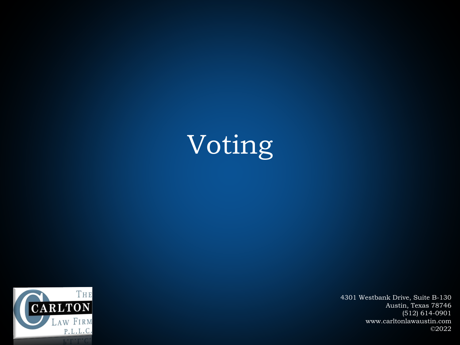# Voting

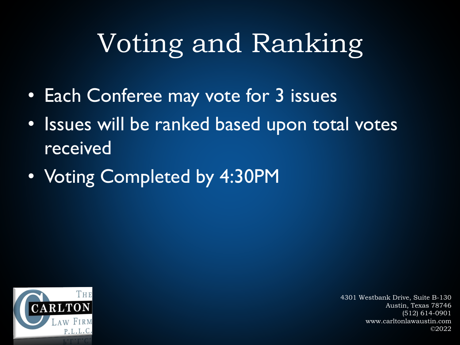# Voting and Ranking

- Each Conferee may vote for 3 issues
- Issues will be ranked based upon total votes received
- Voting Completed by 4:30PM

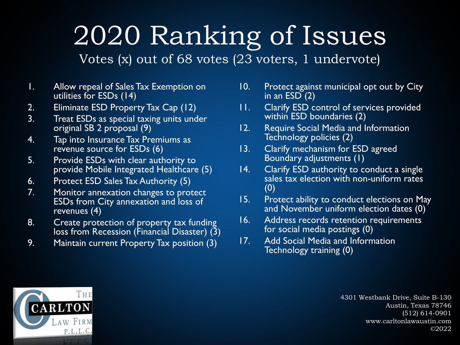# 2020 Ranking of Issues

Votes (x) out of 68 votes (23 voters, 1 undervote)

- 1. Allow repeal of Sales Tax Exemption on utilities for ESDs (14)
- 2. Eliminate ESD Property Tax Cap (12)
- 3. Treat ESDs as special taxing units under original SB 2 proposal (9)
- 4. Tap into Insurance Tax Premiums as revenue source for ESDs (6)
- 5. Provide ESDs with clear authority to provide Mobile Integrated Healthcare (5)
- 6. Protect ESD Sales Tax Authority (5)
- 7. Monitor annexation changes to protect ESDs from City annexation and loss of revenues (4)
- 8. Create protection of property tax funding loss from Recession (Financial Disaster) (3)
- 9. Maintain current Property Tax position (3)
- 10. Protect against municipal opt out by City in an  $ESD(2)$
- 11. Clarify ESD control of services provided within ESD boundaries (2)
- 12. Require Social Media and Information Technology policies (2)
- 13. Clarify mechanism for ESD agreed Boundary adjustments (1)
- 14. Clarify ESD authority to conduct a single sales tax election with non-uniform rates (0)
- 15. Protect ability to conduct elections on May and November uniform election dates (0)
- 16. Address records retention requirements for social media postings (0)
- 17. Add Social Media and Information Technology training (0)

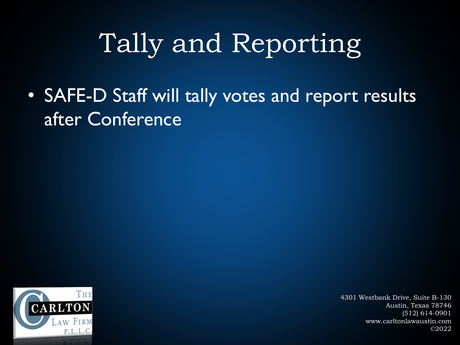# Tally and Reporting

• SAFE-D Staff will tally votes and report results after Conference

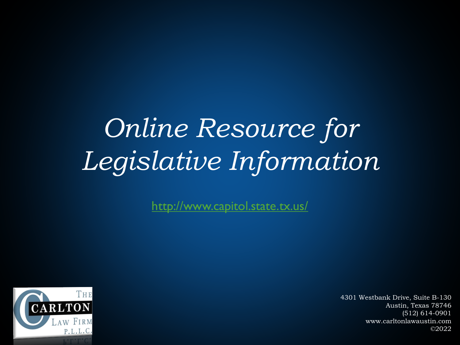# *Online Resource for Legislative Information*

<http://www.capitol.state.tx.us/>